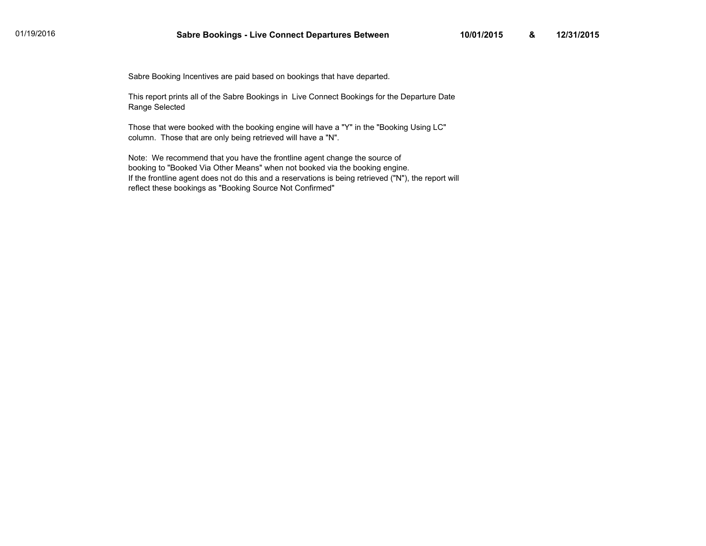Sabre Booking Incentives are paid based on bookings that have departed.

This report prints all of the Sabre Bookings in Live Connect Bookings for the Departure Date Range Selected

Those that were booked with the booking engine will have a "Y" in the "Booking Using LC" column. Those that are only being retrieved will have a "N".

Note: We recommend that you have the frontline agent change the source of booking to "Booked Via Other Means" when not booked via the booking engine. If the frontline agent does not do this and a reservations is being retrieved ("N"), the report will reflect these bookings as "Booking Source Not Confirmed"